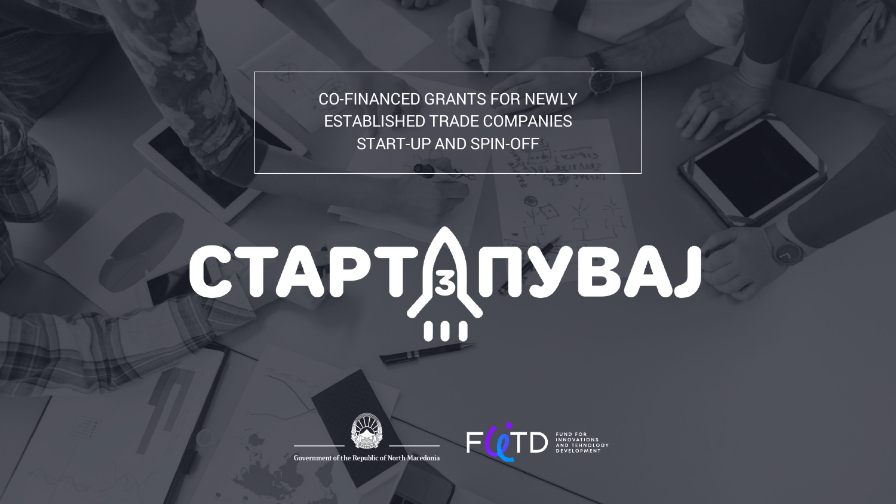CO-FINANCED GRANTS FOR NEWLY ESTABLISHED TRADE COMPANIES START-UP AND SPIN-OFF

# CTAPTANYBAJ

EC



Government of the Republic of North Macedonia

FUND FOR<br>INNOVATIONS<br>AND TEHNOLOGY<br>DEVELOPMENT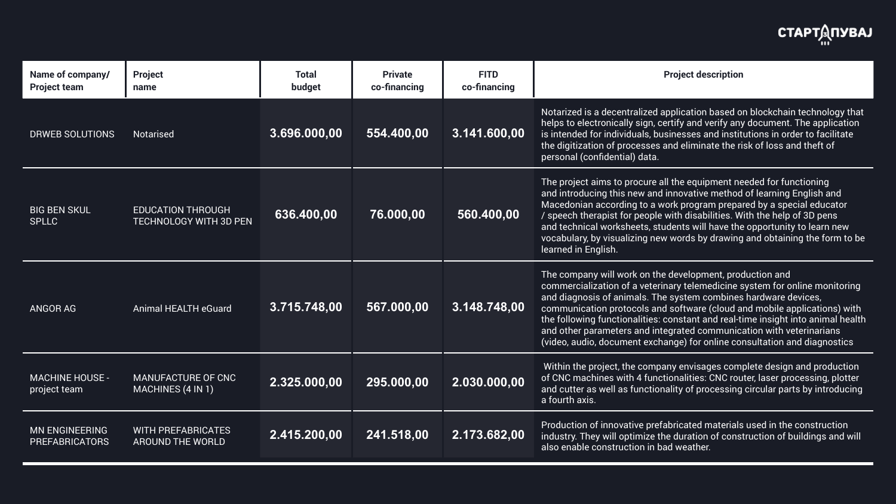Interal is a decentralized application based on blockchain technology that s to electronically sign, certify and verify any document. The application tended for individuals, businesses and institutions in order to facilitate  $t$ ligitization of processes and eliminate the risk of loss and theft of onal (confidential) data.

project aims to procure all the equipment needed for functioning introducing this new and innovative method of learning English and edonian according to a work program prepared by a special educator  $\epsilon$ ech therapist for people with disabilities. With the help of 3D pens technical worksheets, students will have the opportunity to learn new bulary, by visualizing new words by drawing and obtaining the form to be led in English.

company will work on the development, production and mercialization of a veterinary telemedicine system for online monitoring diagnosis of animals. The system combines hardware devices, munication protocols and software (cloud and mobile applications) with ollowing functionalities: constant and real-time insight into animal health other parameters and integrated communication with veterinarians  $\overline{\phantom{a}}$ o, audio, document exchange) for online consultation and diagnostics

hin the project, the company envisages complete design and production NC machines with 4 functionalities: CNC router, laser processing, plotter cutter as well as functionality of processing circular parts by introducing  $urth$  axis.

luction of innovative prefabricated materials used in the construction stry. They will optimize the duration of construction of buildings and will enable construction in bad weather.

| Name of company/<br><b>Project team</b>        | <b>Project</b><br>name                                    | <b>Total</b><br>budget | <b>Private</b><br>co-financing | <b>FITD</b><br>co-financing |                                                                        |
|------------------------------------------------|-----------------------------------------------------------|------------------------|--------------------------------|-----------------------------|------------------------------------------------------------------------|
| <b>DRWEB SOLUTIONS</b>                         | <b>Notarised</b>                                          | 3.696.000,00           | 554.400,00                     | 3.141.600,00                | Nota<br>help<br>is int<br>the o<br>pers                                |
| <b>BIG BEN SKUL</b><br><b>SPLLC</b>            | <b>EDUCATION THROUGH</b><br><b>TECHNOLOGY WITH 3D PEN</b> | 636.400,00             | 76.000,00                      | 560.400,00                  | The<br>and<br>Mac<br>$/$ spe<br>and<br><b>VOC<sub>2</sub></b><br>learr |
| <b>ANGOR AG</b>                                | <b>Animal HEALTH eGuard</b>                               | 3.715.748,00           | 567.000,00                     | 3.148.748,00                | The<br>com<br>and<br>com<br>the f<br>and<br>(vide                      |
| <b>MACHINE HOUSE -</b><br>project team         | <b>MANUFACTURE OF CNC</b><br><b>MACHINES (4 IN 1)</b>     | 2.325.000,00           | 295.000,00                     | 2.030.000,00                | With<br>of Cl<br>and<br>a for                                          |
| <b>MN ENGINEERING</b><br><b>PREFABRICATORS</b> | <b>WITH PREFABRICATES</b><br><b>AROUND THE WORLD</b>      | 2.415.200,00           | 241.518,00                     | 2.173.682,00                | Prod<br>indu<br>also                                                   |

# **СТАРТДПУВАЈ**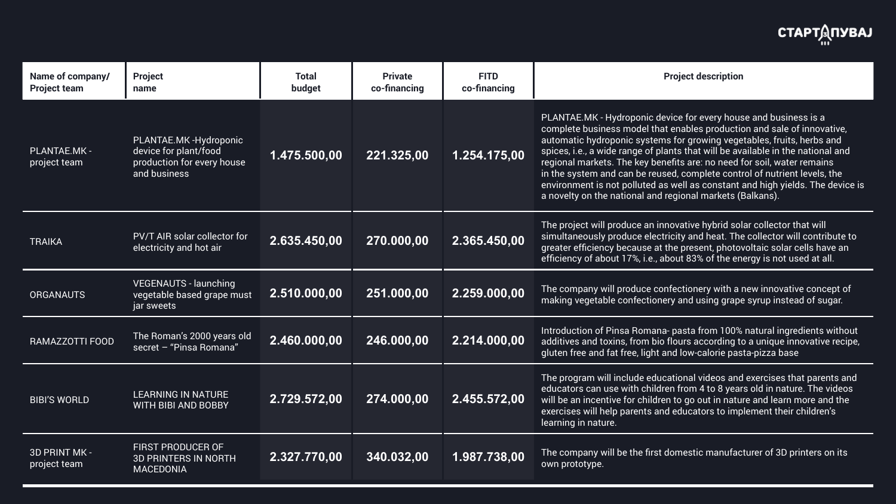| Name of company/<br><b>Project team</b> | <b>Project</b><br>name                                                                       | <b>Total</b><br>budget     | <b>Private</b><br>co-financing | <b>FITD</b><br>co-financing | <b>Project description</b>                                                                                                                                                                                                                                                                                                                                                                                                                                                                                                                                                                                     |
|-----------------------------------------|----------------------------------------------------------------------------------------------|----------------------------|--------------------------------|-----------------------------|----------------------------------------------------------------------------------------------------------------------------------------------------------------------------------------------------------------------------------------------------------------------------------------------------------------------------------------------------------------------------------------------------------------------------------------------------------------------------------------------------------------------------------------------------------------------------------------------------------------|
| PLANTAE.MK -<br>project team            | PLANTAE.MK-Hydroponic<br>device for plant/food<br>production for every house<br>and business | 1.475.500,00               | 221.325,00                     | 1.254.175,00                | PLANTAE.MK - Hydroponic device for every house and business is a<br>complete business model that enables production and sale of innovative,<br>automatic hydroponic systems for growing vegetables, fruits, herbs and<br>spices, i.e., a wide range of plants that will be available in the national and<br>regional markets. The key benefits are: no need for soil, water remains<br>in the system and can be reused, complete control of nutrient levels, the<br>environment is not polluted as well as constant and high yields. The device i<br>a novelty on the national and regional markets (Balkans). |
| <b>TRAIKA</b>                           | <b>PV/T AIR solar collector for</b><br>electricity and hot air                               | 2.635.450,00               | 270.000,00                     | 2.365.450,00                | The project will produce an innovative hybrid solar collector that will<br>simultaneously produce electricity and heat. The collector will contribute to<br>greater efficiency because at the present, photovoltaic solar cells have an<br>efficiency of about 17%, i.e., about 83% of the energy is not used at all.                                                                                                                                                                                                                                                                                          |
| <b>ORGANAUTS</b>                        | <b>VEGENAUTS - launching</b><br>vegetable based grape must<br>jar sweets                     | 2.510.000,00               | 251.000,00                     | 2.259.000,00                | The company will produce confectionery with a new innovative concept of<br>making vegetable confectionery and using grape syrup instead of sugar.                                                                                                                                                                                                                                                                                                                                                                                                                                                              |
| RAMAZZOTTI FOOD                         | The Roman's 2000 years old<br>secret - "Pinsa Romana"                                        | 2.460.000,00               | 246.000,00                     | 2.214.000,00                | Introduction of Pinsa Romana- pasta from 100% natural ingredients without<br>additives and toxins, from bio flours according to a unique innovative recipe,<br>gluten free and fat free, light and low-calorie pasta-pizza base                                                                                                                                                                                                                                                                                                                                                                                |
| <b>BIBI'S WORLD</b>                     | <b>LEARNING IN NATURE</b><br><b>WITH BIBI AND BOBBY</b>                                      | 2.729.572,00               | 274.000,00                     | 2.455.572,00                | The program will include educational videos and exercises that parents and<br>educators can use with children from 4 to 8 years old in nature. The videos<br>will be an incentive for children to go out in nature and learn more and the<br>exercises will help parents and educators to implement their children's<br>learning in nature.                                                                                                                                                                                                                                                                    |
| 3D PRINT MK -<br>project team           | <b>FIRST PRODUCER OF</b><br><b>3D PRINTERS IN NORTH</b><br><b>MACEDONIA</b>                  | $\overline{)2.327.770,00}$ | 340.032,00                     | 1.987.738,00                | The company will be the first domestic manufacturer of 3D printers on its<br>own prototype.                                                                                                                                                                                                                                                                                                                                                                                                                                                                                                                    |

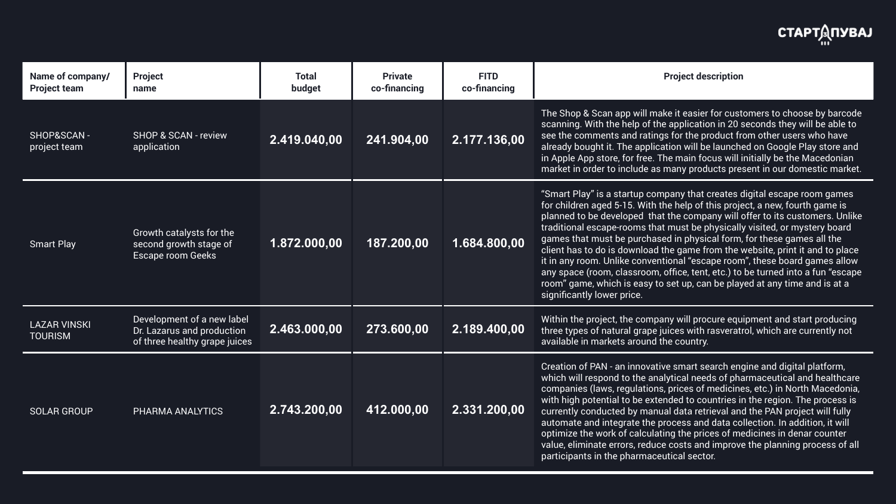Shop & Scan app will make it easier for customers to choose by barcode ining. With the help of the application in 20 seconds they will be able to he comments and ratings for the product from other users who have ady bought it. The application will be launched on Google Play store and ople App store, for free. The main focus will initially be the Macedonian  $\epsilon$ et in order to include as many products present in our domestic market.

art Play" is a startup company that creates digital escape room games hildren aged 5-15. With the help of this project, a new, fourth game is ned to be developed that the company will offer to its customers. Unlike tional escape-rooms that must be physically visited, or mystery board es that must be purchased in physical form, for these games all the It has to do is download the game from the website, print it and to place any room. Unlike conventional "escape room", these board games allow space (room, classroom, office, tent, etc.) to be turned into a fun "escape  $^{\prime}$  game, which is easy to set up, can be played at any time and is at a ficantly lower price.

Within the project, the company will procure equipment and start producing<br>Latter types of natural grape juices with rasveratrol, which are currently not and the District of three types of natural grape juices with rasvera able in markets around the country.

> tion of PAN - an innovative smart search engine and digital platform, h will respond to the analytical needs of pharmaceutical and healthcare panies (laws, regulations, prices of medicines, etc.) in North Macedonia, high potential to be extended to countries in the region. The process is ently conducted by manual data retrieval and the PAN project will fully mate and integrate the process and data collection. In addition, it will nize the work of calculating the prices of medicines in denar counter e, eliminate errors, reduce costs and improve the planning process of all cipants in the pharmaceutical sector.

| Name of company/<br><b>Project team</b> | <b>Project</b><br>name                                                                    | <b>Total</b><br>budget | <b>Private</b><br>co-financing | <b>FITD</b><br>co-financing |                                                                                |
|-----------------------------------------|-------------------------------------------------------------------------------------------|------------------------|--------------------------------|-----------------------------|--------------------------------------------------------------------------------|
| SHOP&SCAN-<br>project team              | <b>SHOP &amp; SCAN - review</b><br>application                                            | 2.419.040,00           | 241.904,00                     | 2.177.136,00                | <b>The</b><br>scar<br>see 1<br>alrea<br>in Ar<br>marl                          |
| <b>Smart Play</b>                       | <b>Growth catalysts for the</b><br>second growth stage of<br><b>Escape room Geeks</b>     | 1.872.000,00           | 187.200,00                     | 1.684.800,00                | "Sm<br>for c<br>plan<br>tradi<br>gam<br>clier<br>it in<br>any:<br>roon<br>sign |
| <b>LAZAR VINSKI</b><br><b>TOURISM</b>   | Development of a new label<br>Dr. Lazarus and production<br>of three healthy grape juices | 2.463.000,00           | 273.600,00                     | 2.189.400,00                | With<br>three<br>avail                                                         |
| <b>SOLAR GROUP</b>                      | PHARMA ANALYTICS                                                                          | 2.743.200,00           | 412.000,00                     | 2.331.200,00                | Crea<br>whic<br>com<br>with<br><b>CUIT</b><br>auto<br>optir<br>valu<br>parti   |

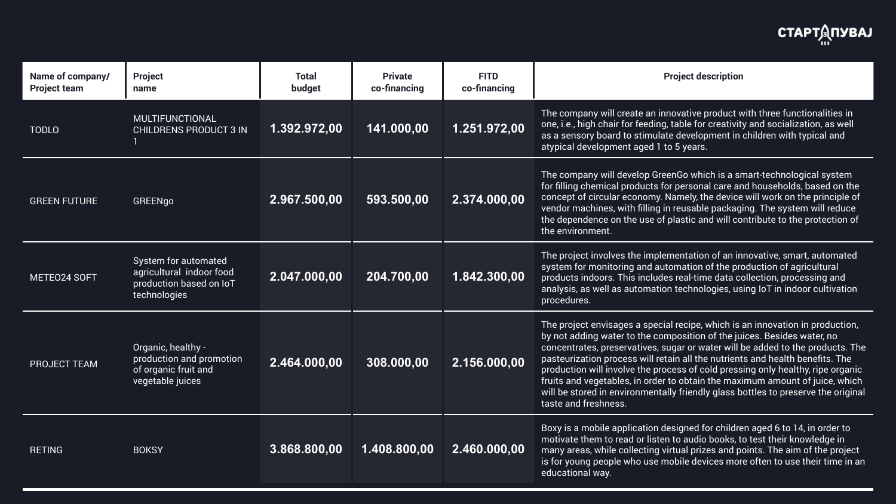company will create an innovative product with three functionalities in i.e., high chair for feeding, table for creativity and socialization, as well sensory board to stimulate development in children with typical and ical development aged 1 to 5 years.

company will develop GreenGo which is a smart-technological system illing chemical products for personal care and households, based on the  $\,$ cept of circular economy. Namely, the device will work on the principle of lor machines, with filling in reusable packaging. The system will reduce  $\epsilon$  dependence on the use of plastic and will contribute to the protection of environment.

project involves the implementation of an innovative, smart, automated em for monitoring and automation of the production of agricultural lucts indoors. This includes real-time data collection, processing and lysis, as well as automation technologies, using IoT in indoor cultivation edures.

project envisages a special recipe, which is an innovation in production, ot adding water to the composition of the juices. Besides water, no centrates, preservatives, sugar or water will be added to the products. The  $\,$ teurization process will retain all the nutrients and health benefits. The  $\,$ luction will involve the process of cold pressing only healthy, ripe organic  $\mathbf s$  and vegetables, in order to obtain the maximum amount of juice, which be stored in environmentally friendly glass bottles to preserve the original e and freshness.

 $\mu$  is a mobile application designed for children aged 6 to 14, in order to  $\mu$ ivate them to read or listen to audio books, to test their knowledge in y areas, while collecting virtual prizes and points. The aim of the project  $\cdot$  young people who use mobile devices more often to use their time in an  $\cdot$ cational way.

| Name of company/<br><b>Project team</b> | <b>Project</b><br>name                                                                      | <b>Total</b><br>budget | <b>Private</b><br>co-financing | <b>FITD</b><br>co-financing |                                                             |
|-----------------------------------------|---------------------------------------------------------------------------------------------|------------------------|--------------------------------|-----------------------------|-------------------------------------------------------------|
| <b>TODLO</b>                            | <b>MULTIFUNCTIONAL</b><br><b>CHILDRENS PRODUCT 3 IN</b>                                     | 1.392.972,00           | 141.000,00                     | 1.251.972,00                | <b>The</b><br>one,<br>as a<br>atyp                          |
| <b>GREEN FUTURE</b>                     | <b>GREENgo</b>                                                                              | 2.967.500,00           | 593.500,00                     | 2.374.000,00                | <b>The</b><br>for f<br>con<br>veno<br>the of<br>the         |
| METEO24 SOFT                            | System for automated<br>agricultural indoor food<br>production based on IoT<br>technologies | 2.047.000,00           | 204.700,00                     | 1.842.300,00                | <b>The</b><br>syst<br>proc<br>anal<br>proc                  |
| <b>PROJECT TEAM</b>                     | Organic, healthy -<br>production and promotion<br>of organic fruit and<br>vegetable juices  | 2.464.000,00           | 308.000,00                     | 2.156.000,00                | The<br>by n<br>con<br>past<br>proc<br>fruit<br>will<br>tast |
| <b>RETING</b>                           | <b>BOKSY</b>                                                                                | 3.868.800,00           | 1.408.800,00                   | 2.460.000,00                | Box <sup>1</sup><br>mot<br>man<br>is fo<br>edu              |

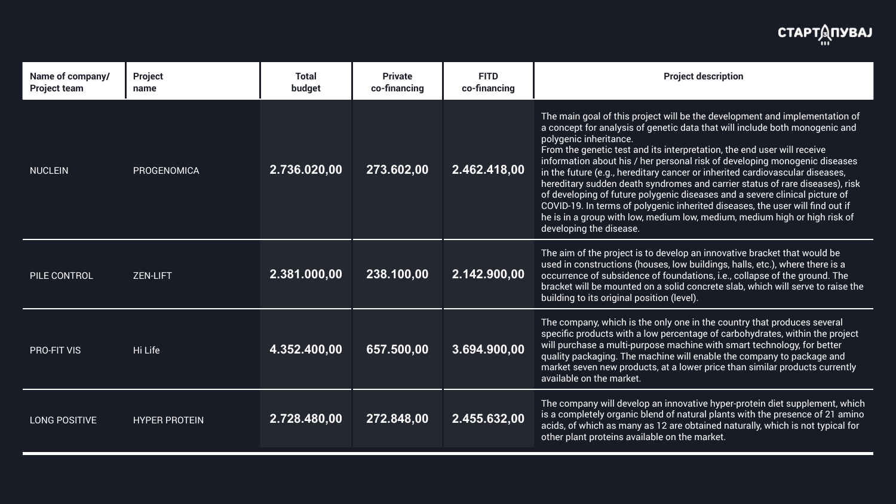main goal of this project will be the development and implementation of  $\alpha$  and for analysis of genetic data that will include both monogenic and qenic inheritance.

m the genetic test and its interpretation, the end user will receive  $r$ mation about his / her personal risk of developing monogenic diseases ie future (e.g., hereditary cancer or inherited cardiovascular diseases,  $\bm{\mathrm{s}}$ ditary sudden death syndromes and carrier status of rare diseases), risk eveloping of future polygenic diseases and a severe clinical picture of /ID-19. In terms of polygenic inherited diseases, the user will find out if  $\mathbf s$  in a group with low, medium low, medium, medium high or high risk of loping the disease.

aim of the project is to develop an innovative bracket that would be d in constructions (houses, low buildings, halls, etc.), where there is a urrence of subsidence of foundations, i.e., collapse of the ground. The  $\epsilon$ ket will be mounted on a solid concrete slab, which will serve to raise the ling to its original position (level).

company, which is the only one in the country that produces several cific products with a low percentage of carbohydrates, within the project purchase a multi-purpose machine with smart technology, for better lity packaging. The machine will enable the company to package and ket seven new products, at a lower price than similar products currently lable on the market.

company will develop an innovative hyper-protein diet supplement, which completely organic blend of natural plants with the presence of 21 amino ls, of which as many as 12 are obtained naturally, which is not typical for er plant proteins available on the market.

| Name of company/<br><b>Project team</b> | <b>Project</b><br>name | <b>Total</b><br>budget | <b>Private</b><br>co-financing | <b>FITD</b><br>co-financing |                                                                                      |
|-----------------------------------------|------------------------|------------------------|--------------------------------|-----------------------------|--------------------------------------------------------------------------------------|
| <b>NUCLEIN</b>                          | <b>PROGENOMICA</b>     | 2.736.020,00           | 273.602,00                     | 2.462.418,00                | The<br>a co<br>poly<br>Fror<br>info<br>in th<br>here<br>of d<br>COV<br>he is<br>deve |
| PILE CONTROL                            | <b>ZEN-LIFT</b>        | 2.381.000,00           | 238.100,00                     | 2.142.900,00                | The<br><b>USe</b><br>OCCI<br>brac<br>buil                                            |
| <b>PRO-FIT VIS</b>                      | Hi Life                | 4.352.400,00           | 657.500,00                     | 3.694.900,00                | The<br>spe<br>will<br>qual<br>mar<br>avai                                            |
| LONG POSITIVE                           | <b>HYPER PROTEIN</b>   | 2.728.480,00           | 272.848,00                     | 2.455.632,00                | The<br>is a<br>acid<br>othe                                                          |

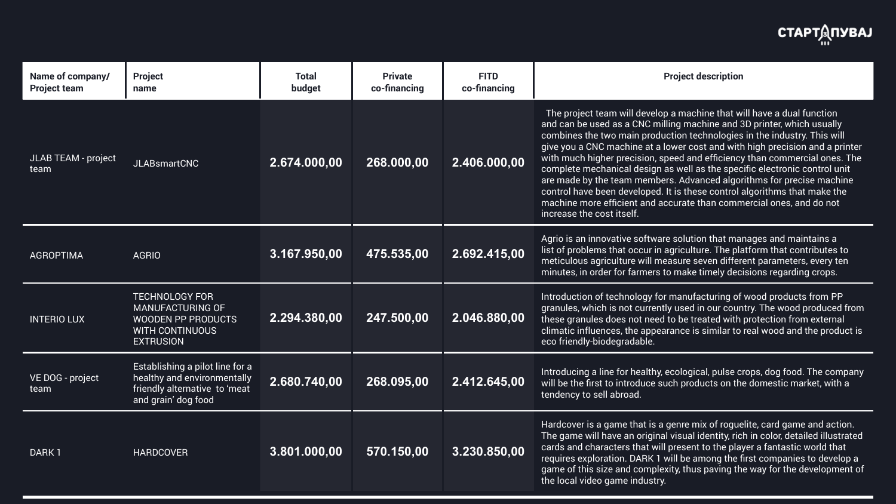e project team will develop a machine that will have a dual function can be used as a CNC milling machine and 3D printer, which usually  $\alpha$ bines the two main production technologies in the industry. This will you a CNC machine at a lower cost and with high precision and a printer  $m$  much higher precision, speed and efficiency than commercial ones. The plete mechanical design as well as the specific electronic control unit made by the team members. Advanced algorithms for precise machine trol have been developed. It is these control algorithms that make the hine more efficient and accurate than commercial ones, and do not ease the cost itself.

o is an innovative software solution that manages and maintains a f problems that occur in agriculture. The platform that contributes to  $\overline{\phantom{a}}$  $\mathop{\mathsf{iculous}}$  agriculture will measure seven different parameters, every ten Ites, in order for farmers to make timely decisions regarding crops.

oduction of technology for manufacturing of wood products from PP  $n$ ules, which is not currently used in our country. The wood produced from e granules does not need to be treated with protection from external atic influences, the appearance is similar to real wood and the product is friendly-biodegradable.

Introducing a line for healthy, ecological, pulse crops, dog food. The company<br>**2.680.740,00 268.095,00 2.412.645,00** will be the first to introduce such products on the domestic market, with a lency to sell abroad.

> lcover is a game that is a genre mix of roguelite, card game and action. game will have an original visual identity, rich in color, detailed illustrated  $\overline{\mathsf{I}}$  card characters that will present to the player a fantastic world that ires exploration. DARK 1 will be among the first companies to develop a ie of this size and complexity, thus paving the way for the development of local video game industry.

| Name of company/<br><b>Project team</b> | <b>Project</b><br>name                                                                                                      | <b>Total</b><br>budget | <b>Private</b><br>co-financing | <b>FITD</b><br>co-financing |                                                                           |
|-----------------------------------------|-----------------------------------------------------------------------------------------------------------------------------|------------------------|--------------------------------|-----------------------------|---------------------------------------------------------------------------|
| <b>JLAB TEAM - project</b><br>team      | <b>JLABsmartCNC</b>                                                                                                         | 2.674.000,00           | 268.000,00                     | 2.406.000,00                | The<br>and<br>com<br>give<br>with<br>com<br>are r<br>cont<br>mac<br>incre |
| <b>AGROPTIMA</b>                        | <b>AGRIO</b>                                                                                                                | 3.167.950,00           | 475.535,00                     | 2.692.415,00                | Agri<br>list o<br>meti<br>min                                             |
| <b>INTERIO LUX</b>                      | <b>TECHNOLOGY FOR</b><br><b>MANUFACTURING OF</b><br><b>WOODEN PP PRODUCTS</b><br><b>WITH CONTINUOUS</b><br><b>EXTRUSION</b> | 2.294.380,00           | 247.500,00                     | 2.046.880,00                | Intro<br>grar<br>thes<br>clim<br>eco                                      |
| VE DOG - project<br>team                | Establishing a pilot line for a<br>healthy and environmentally<br>friendly alternative to 'meat<br>and grain' dog food      | 2.680.740,00           | 268.095,00                     | 2.412.645,00                | Intro<br>will I<br>tend                                                   |
| DARK 1                                  | <b>HARDCOVER</b>                                                                                                            | 3.801.000,00           | 570.150,00                     | 3.230.850,00                | Hard<br>The<br>card<br>requ<br>gam<br>the I                               |

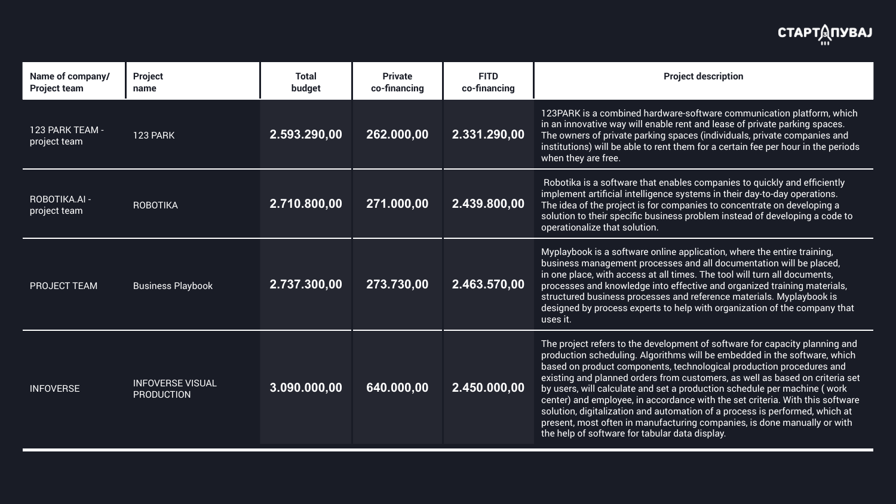PARK is a combined hardware-software communication platform, which n innovative way will enable rent and lease of private parking spaces. owners of private parking spaces (individuals, private companies and itutions) will be able to rent them for a certain fee per hour in the periods In they are free.

 $\mathop{\mathsf{pot}}$ ika is a software that enables companies to quickly and efficiently lement artificial intelligence systems in their day-to-day operations. idea of the project is for companies to concentrate on developing a tion to their specific business problem instead of developing a code to rationalize that solution.

laybook is a software online application, where the entire training,  $\overline{b}$ iness management processes and all documentation will be placed, ne place, with access at all times. The tool will turn all documents, esses and knowledge into effective and organized training materials, ctured business processes and reference materials. Myplaybook is igned by process experts to help with organization of the company that it.

project refers to the development of software for capacity planning and luction scheduling. Algorithms will be embedded in the software, which ed on product components, technological production procedures and ting and planned orders from customers, as well as based on criteria set  $\,$ isers, will calculate and set a production schedule per machine ( work ter) and employee, in accordance with the set criteria. With this software tion, digitalization and automation of a process is performed, which at  $s$ ent, most often in manufacturing companies, is done manually or with help of software for tabular data display.

| Name of company/<br><b>Project team</b> | <b>Project</b><br>name                       | <b>Total</b><br>budget | <b>Private</b><br>co-financing | <b>FITD</b><br>co-financing |                                                                      |
|-----------------------------------------|----------------------------------------------|------------------------|--------------------------------|-----------------------------|----------------------------------------------------------------------|
| 123 PARK TEAM -<br>project team         | <b>123 PARK</b>                              | 2.593.290,00           | 262.000,00                     | 2.331.290,00                | 123<br>in ar<br>The<br>insti<br>whe                                  |
| <b>ROBOTIKA.AI -</b><br>project team    | <b>ROBOTIKA</b>                              | 2.710.800,00           | 271.000,00                     | 2.439.800,00                | Rob<br>impl<br>The<br>solu<br>oper                                   |
| <b>PROJECT TEAM</b>                     | <b>Business Playbook</b>                     | 2.737.300,00           | 273.730,00                     | 2.463.570,00                | Myp<br>busi<br>in or<br>proc<br>stru<br>desi<br>uses                 |
| <b>INFOVERSE</b>                        | <b>INFOVERSE VISUAL</b><br><b>PRODUCTION</b> | 3.090.000,00           | 640.000,00                     | 2.450.000,00                | The<br>proc<br>base<br>exis<br>by u<br>cent<br>solu<br>pres<br>the I |

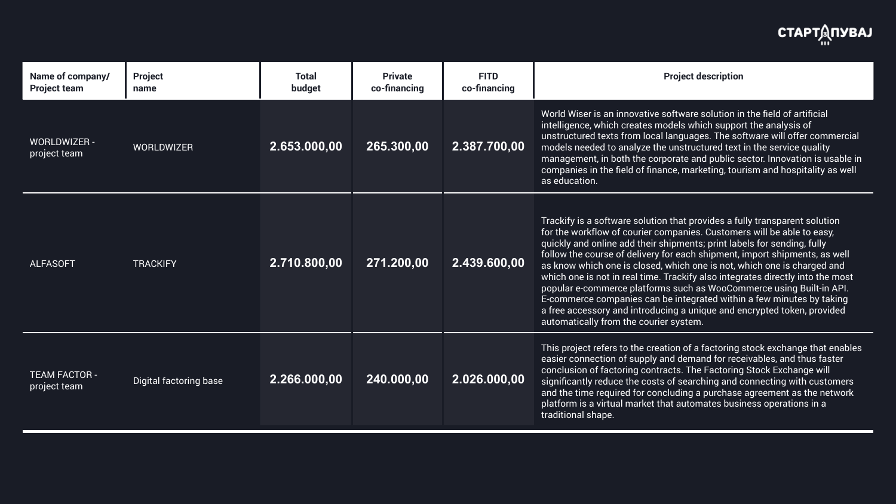d Wiser is an innovative software solution in the field of artificial ligence, which creates models which support the analysis of ructured texts from local languages. The software will offer commercial els needed to analyze the unstructured text in the service quality agement, in both the corporate and public sector. Innovation is usable in panies in the field of finance, marketing, tourism and hospitality as well ducation.

kify is a software solution that provides a fully transparent solution he workflow of courier companies. Customers will be able to easy,  $\,$ kly and online add their shipments; print labels for sending, fully w the course of delivery for each shipment, import shipments, as well now which one is closed, which one is not, which one is charged and  $\overline{\phantom{a}}$ h one is not in real time. Trackify also integrates directly into the most: Ilar e-commerce platforms such as WooCommerce using Built-in API.  $m$ merce companies can be integrated within a few minutes by taking e accessory and introducing a unique and encrypted token, provided matically from the courier system.

project refers to the creation of a factoring stock exchange that enables er connection of supply and demand for receivables, and thus faster clusion of factoring contracts. The Factoring Stock Exchange will ificantly reduce the costs of searching and connecting with customers  $\overline{\phantom{a}}$ the time required for concluding a purchase agreement as the network  $\overline{\phantom{a}}$  $\delta$ orm is a virtual market that automates business operations in a itional shape.

| Name of company/<br><b>Project team</b> | <b>Project</b><br>name        | <b>Total</b><br>budget | <b>Private</b><br>co-financing | <b>FITD</b><br>co-financing |                                                                                        |
|-----------------------------------------|-------------------------------|------------------------|--------------------------------|-----------------------------|----------------------------------------------------------------------------------------|
| <b>WORLDWIZER -</b><br>project team     | <b>WORLDWIZER</b>             | 2.653.000,00           | 265.300,00                     | 2.387.700,00                | Worl<br>intel<br>unst<br>mod<br>man<br>com<br>as e                                     |
| <b>ALFASOFT</b>                         | <b>TRACKIFY</b>               | 2.710.800,00           | 271.200,00                     | 2.439.600,00                | <b>Trac</b><br>for t<br>quic<br>follo<br>as k<br>whic<br>popl<br>E-co<br>a fre<br>auto |
| <b>TEAM FACTOR -</b><br>project team    | <b>Digital factoring base</b> | 2.266.000,00           | 240.000,00                     | 2.026.000,00                | This<br>easi<br>cond<br>sign<br>and<br>platf<br>tradi                                  |

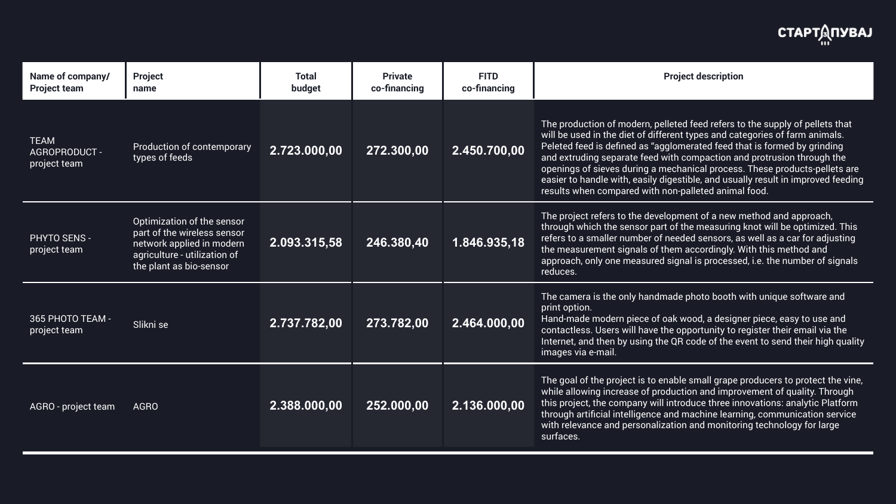production of modern, pelleted feed refers to the supply of pellets that be used in the diet of different types and categories of farm animals.  $\epsilon$  red feed is defined as "agglomerated feed that is formed by grinding extruding separate feed with compaction and protrusion through the  $n$ ings of sieves during a mechanical process. These products-pellets are er to handle with, easily digestible, and usually result in improved feeding Its when compared with non-palleted animal food.

project refers to the development of a new method and approach, ugh which the sensor part of the measuring knot will be optimized. This rs to a smaller number of needed sensors, as well as a car for adjusting measurement signals of them accordingly. With this method and roach, only one measured signal is processed, i.e. the number of signals ces.

camera is the only handmade photo booth with unique software and  $op<sub>i</sub>$  option.

d-made modern piece of oak wood, a designer piece, easy to use and tactless. Users will have the opportunity to register their email via the  $\overline{\phantom{a}}$  $I$  rnet, and then by using the QR code of the event to send their high quality ges via e-mail.

goal of the project is to enable small grape producers to protect the vine, e allowing increase of production and improvement of quality. Through project, the company will introduce three innovations: analytic Platform ugh artificial intelligence and machine learning, communication service relevance and personalization and monitoring technology for large aces.

| Name of company/<br><b>Project team</b>      | <b>Project</b><br>name                                                                                                                            | <b>Total</b><br>budget | <b>Private</b><br>co-financing | <b>FITD</b><br>co-financing |                                                           |
|----------------------------------------------|---------------------------------------------------------------------------------------------------------------------------------------------------|------------------------|--------------------------------|-----------------------------|-----------------------------------------------------------|
| <b>TEAM</b><br>AGROPRODUCT -<br>project team | Production of contemporary<br>types of feeds                                                                                                      | 2.723.000,00           | 272.300,00                     | 2.450.700,00                | <b>The</b><br>will<br>Pele<br>and<br>oper<br>easi<br>resu |
| PHYTO SENS -<br>project team                 | Optimization of the sensor<br>part of the wireless sensor<br>network applied in modern<br>agriculture - utilization of<br>the plant as bio-sensor | 2.093.315,58           | 246.380,40                     | 1.846.935,18                | <b>The</b><br>thro<br>refe<br>the i<br>appl<br>redu       |
| 365 PHOTO TEAM -<br>project team             | Slikni se                                                                                                                                         | 2.737.782,00           | 273.782,00                     | 2.464.000,00                | The<br>print<br>Han<br>cont<br>Inter<br>ima               |
| AGRO - project team                          | <b>AGRO</b>                                                                                                                                       | 2.388.000,00           | 252.000,00                     | 2.136.000,00                | The<br>whil<br>this<br>thro<br>with<br>surf               |

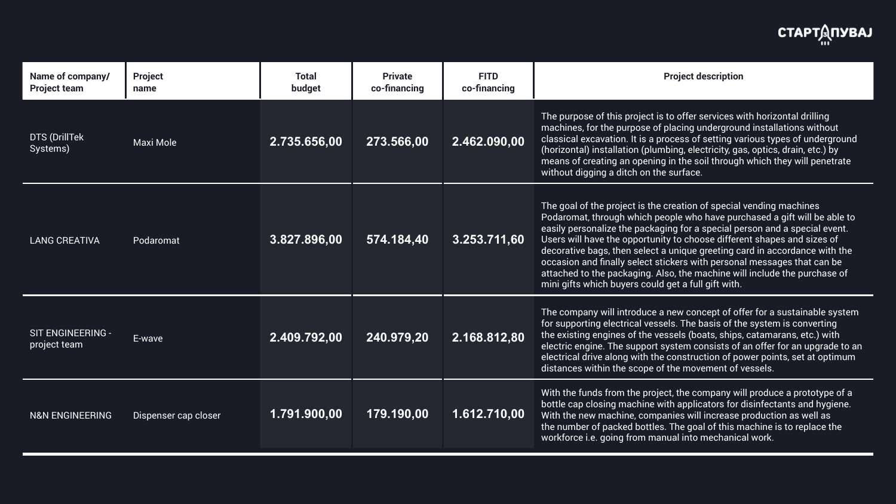purpose of this project is to offer services with horizontal drilling chines, for the purpose of placing underground installations without sical excavation. It is a process of setting various types of underground izontal) installation (plumbing, electricity, gas, optics, drain, etc.) by ans of creating an opening in the soil through which they will penetrate out digging a ditch on the surface.

goal of the project is the creation of special vending machines aromat, through which people who have purchased a gift will be able to ly personalize the packaging for a special person and a special event. rs will have the opportunity to choose different shapes and sizes of orative bags, then select a unique greeting card in accordance with the  $\overline{\phantom{a}}$ asion and finally select stickers with personal messages that can be iched to the packaging. Also, the machine will include the purchase of gifts which buyers could get a full gift with.

company will introduce a new concept of offer for a sustainable system upporting electrical vessels. The basis of the system is converting existing engines of the vessels (boats, ships, catamarans, etc.) with tric engine. The support system consists of an offer for an upgrade to an trical drive along with the construction of power points, set at optimum ances within the scope of the movement of vessels.

 $\mid$  the funds from the project, the company will produce a prototype of a  $\mid$ le cap closing machine with applicators for disinfectants and hygiene.  $\overline{\phantom{a}}$ the new machine, companies will increase production as well as number of packed bottles. The goal of this machine is to replace the kforce i.e. going from manual into mechanical work.

| Name of company/<br><b>Project team</b> | <b>Project</b><br>name | <b>Total</b><br>budget | <b>Private</b><br>co-financing | <b>FITD</b><br>co-financing |                                                          |
|-----------------------------------------|------------------------|------------------------|--------------------------------|-----------------------------|----------------------------------------------------------|
| <b>DTS (DrillTek)</b><br>Systems)       | Maxi Mole              | 2.735.656,00           | 273.566,00                     | 2.462.090,00                | The<br>mac<br>clas<br>(hor<br>mea<br>with                |
| <b>LANG CREATIVA</b>                    | Podaromat              | 3.827.896,00           | 574.184,40                     | 3.253.711,60                | The<br>Pod<br>easi<br>Use<br>dec<br>occa<br>atta<br>mini |
| SIT ENGINEERING -<br>project team       | E-wave                 | 2.409.792,00           | 240.979,20                     | 2.168.812,80                | The<br>for s<br>the<br>elec<br>elec<br>dist              |
| <b>N&amp;N ENGINEERING</b>              | Dispenser cap closer   | 1.791.900,00           | 179.190,00                     | 1.612.710,00                | With<br>bott<br>With<br>the I<br>worl                    |

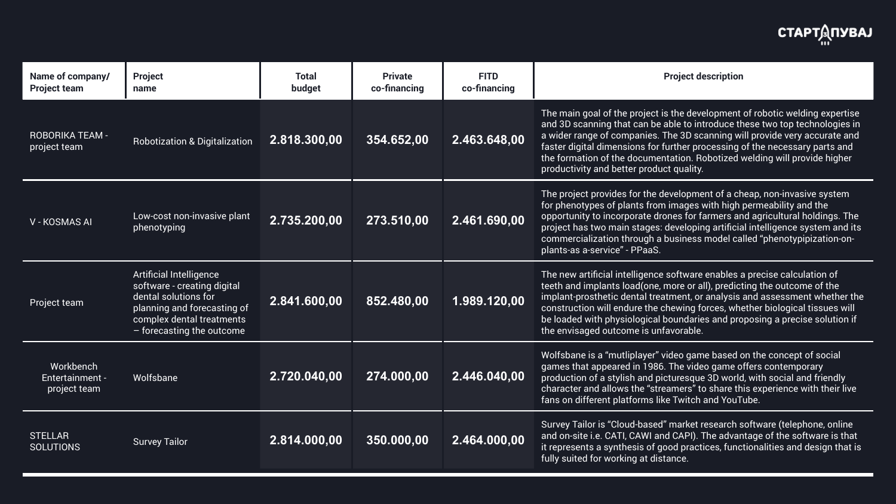main goal of the project is the development of robotic welding expertise 3D scanning that can be able to introduce these two top technologies in der range of companies. The 3D scanning will provide very accurate and er digital dimensions for further processing of the necessary parts and formation of the documentation. Robotized welding will provide higher uctivity and better product quality.

project provides for the development of a cheap, non-invasive system  $\delta$ henotypes of plants from images with high permeability and the ortunity to incorporate drones for farmers and agricultural holdings. The ect has two main stages: developing artificial intelligence system and its mercialization through a business model called "phenotypipization-onts-as a-service" - PPaaS.

new artificial intelligence software enables a precise calculation of h and implants load(one, more or all), predicting the outcome of the  $\overline{\phantom{a}}$ lant-prosthetic dental treatment, or analysis and assessment whether the struction will endure the chewing forces, whether biological tissues will baded with physiological boundaries and proposing a precise solution if envisaged outcome is unfavorable.

fsbane is a "mutliplayer" video game based on the concept of social  $\epsilon$  that appeared in 1986. The video game offers contemporary uction of a stylish and picturesque 3D world, with social and friendly racter and allows the "streamers" to share this experience with their live on different platforms like Twitch and YouTube.

rey Tailor is "Cloud-based" market research software (telephone, online on-site i.e. CATI, CAWI and CAPI). The advantage of the software is that presents a synthesis of good practices, functionalities and design that is  $\overline{\phantom{a}}$ suited for working at distance.

| Name of company/<br><b>Project team</b>      | <b>Project</b><br>name                                                                                                                                                         | <b>Total</b><br>budget | <b>Private</b><br>co-financing | <b>FITD</b><br>co-financing |                                                |
|----------------------------------------------|--------------------------------------------------------------------------------------------------------------------------------------------------------------------------------|------------------------|--------------------------------|-----------------------------|------------------------------------------------|
| <b>ROBORIKA TEAM -</b><br>project team       | <b>Robotization &amp; Digitalization</b>                                                                                                                                       | 2.818.300,00           | 354.652,00                     | 2.463.648,00                | The<br>and<br>a wi<br>fast<br>the f<br>prod    |
| <b>V-KOSMAS AI</b>                           | Low-cost non-invasive plant<br>phenotyping                                                                                                                                     | 2.735.200,00           | 273.510,00                     | 2.461.690,00                | The<br>for p<br>oppo<br>proj<br>com<br>plan    |
| Project team                                 | <b>Artificial Intelligence</b><br>software - creating digital<br>dental solutions for<br>planning and forecasting of<br>complex dental treatments<br>- forecasting the outcome | 2.841.600,00           | 852.480,00                     | 1.989.120,00                | The<br>teetl<br>impl<br>cons<br>be Ic<br>the e |
| Workbench<br>Entertainment -<br>project team | Wolfsbane                                                                                                                                                                      | 2.720.040,00           | 274.000,00                     | 2.446.040,00                | Wolf<br>gam<br>prod<br>char<br>fans            |
| <b>STELLAR</b><br><b>SOLUTIONS</b>           | <b>Survey Tailor</b>                                                                                                                                                           | 2.814.000,00           | 350.000,00                     | 2.464.000,00                | Surv<br>and<br>it rep<br>fully                 |

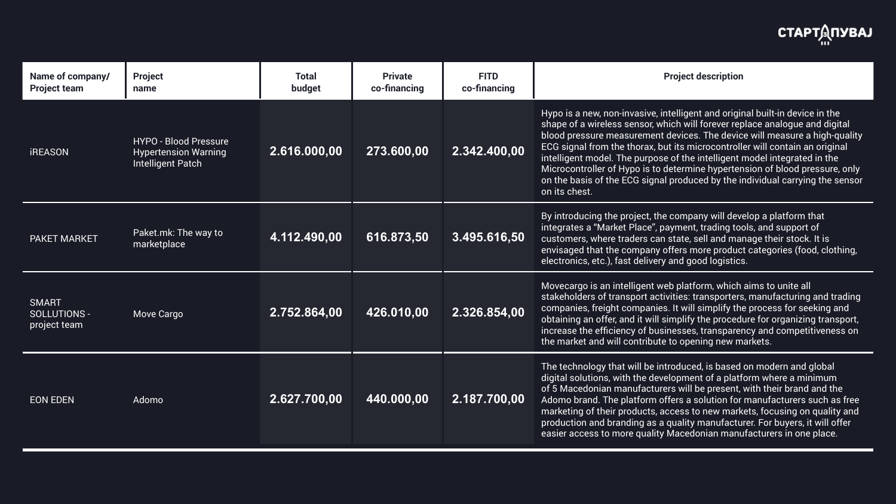o is a new, non-invasive, intelligent and original built-in device in the pe of a wireless sensor, which will forever replace analogue and digital d pressure measurement devices. The device will measure a high-quality signal from the thorax, but its microcontroller will contain an original ligent model. The purpose of the intelligent model integrated in the ocontroller of Hypo is to determine hypertension of blood pressure, only he basis of the ECG signal produced by the individual carrying the sensor s chest.

 $\overline{\text{Introducing the project, the company will develop a platform that}}$ grates a "Market Place", payment, trading tools, and support of tomers, where traders can state, sell and manage their stock. It is saged that the company offers more product categories (food, clothing, tronics, etc.), fast delivery and good logistics.

ecargo is an intelligent web platform, which aims to unite all  $s$ ehol $\rm{ders}$  of transport activities: transporters, manufacturing and trading panies, freight companies. It will simplify the process for seeking and ining an offer, and it will simplify the procedure for organizing transport, ease the efficiency of businesses, transparency and competitiveness on market and will contribute to opening new markets.

technology that will be introduced, is based on modern and global tal solutions, with the development of a platform where a minimum Macedonian manufacturers will be present, with their brand and the mo brand. The platform offers a solution for manufacturers such as free keting of their products, access to new markets, focusing on quality and luction and branding as a quality manufacturer. For buyers, it will offer er access to more quality Macedonian manufacturers in one place.

| Name of company/<br><b>Project team</b>      | <b>Project</b><br>name                                                                  | <b>Total</b><br>budget | <b>Private</b><br>co-financing | <b>FITD</b><br>co-financing |                                                                          |
|----------------------------------------------|-----------------------------------------------------------------------------------------|------------------------|--------------------------------|-----------------------------|--------------------------------------------------------------------------|
| <b>iREASON</b>                               | <b>HYPO - Blood Pressure</b><br><b>Hypertension Warning</b><br><b>Intelligent Patch</b> | 2.616.000,00           | 273.600,00                     | 2.342.400,00                | <b>Hyp</b><br>sha<br>bloc<br><b>ECG</b><br>intel<br>Mic<br>on t<br>on it |
| PAKET MARKET                                 | Paket.mk: The way to<br>marketplace                                                     | 4.112.490,00           | 616.873,50                     | 3.495.616,50                | By in<br>inte<br>cust<br>envi<br>elec                                    |
| <b>SMART</b><br>SOLLUTIONS -<br>project team | <b>Move Cargo</b>                                                                       | 2.752.864,00           | 426.010,00                     | 2.326.854,00                | Mov<br>stak<br>com<br>obta<br>incr<br>the I                              |
| <b>EON EDEN</b>                              | Adomo                                                                                   | 2.627.700,00           | 440.000,00                     | 2.187.700,00                | The<br>digit<br>of 5<br>Ado<br>mar<br>proc<br>easi                       |

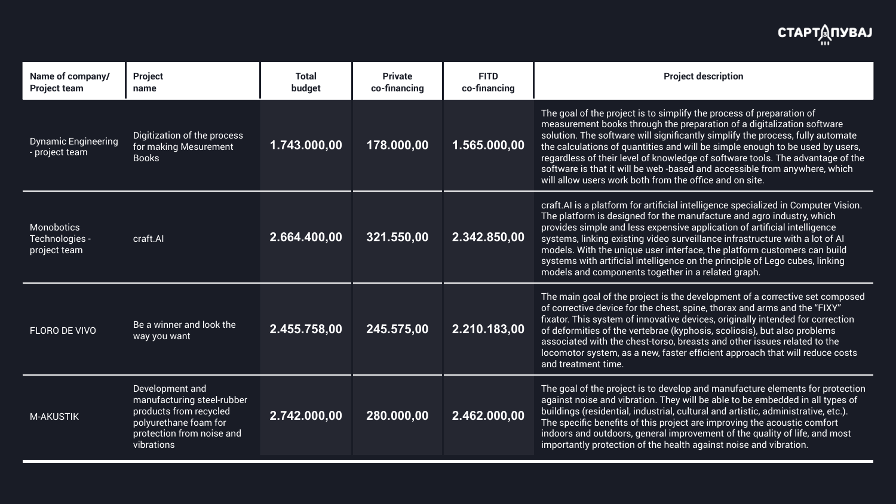goal of the project is to simplify the process of preparation of isurement books through the preparation of a digitalization software tion. The software will significantly simplify the process, fully automate calculations of quantities and will be simple enough to be used by users, ardless of their level of knowledge of software tools. The advantage of the ware is that it will be web -based and accessible from anywhere, which allow users work both from the office and on site.

.AI is a platform for artificial intelligence specialized in Computer Vision. platform is designed for the manufacture and agro industry, which  $n$ ides simple and less expensive application of artificial intelligence  $s$ ems, linking existing video surveillance infrastructure with a lot of AI lels. With the unique user interface, the platform customers can build ems with artificial intelligence on the principle of Lego cubes, linking lels and components together in a related graph.

main goal of the project is the development of a corrective set composed orrective device for the chest, spine, thorax and arms and the "FIXY"  $\,$ tor. This system of innovative devices, originally intended for correction eformities of the vertebrae (kyphosis, scoliosis), but also problems ociated with the chest-torso, breasts and other issues related to the ) motor system, as a new, faster efficient approach that will reduce costs treatment time.

goal of the project is to develop and manufacture elements for protection inst noise and vibration. They will be able to be embedded in all types of  $l$ ings (residential, industrial, cultural and artistic, administrative, etc.). specific benefits of this project are improving the acoustic comfort  $\overline{\rm}$  and outdoors, general improvement of the quality of life, and most  $\alpha$  protection of the health against noise and vibration.

| Name of company/<br><b>Project team</b>             | <b>Project</b><br>name                                                                                                                      | <b>Total</b><br>budget | <b>Private</b><br>co-financing | <b>FITD</b><br>co-financing |                                                      |
|-----------------------------------------------------|---------------------------------------------------------------------------------------------------------------------------------------------|------------------------|--------------------------------|-----------------------------|------------------------------------------------------|
| <b>Dynamic Engineering</b><br>- project team        | Digitization of the process<br>for making Mesurement<br><b>Books</b>                                                                        | 1.743.000,00           | 178.000,00                     | 1.565.000,00                | The<br>mea<br>solu<br>the o<br>rega<br>soft<br>will  |
| <b>Monobotics</b><br>Technologies -<br>project team | craft.Al                                                                                                                                    | 2.664.400,00           | 321.550,00                     | 2.342.850,00                | craf<br>The<br>prov<br>syst<br>mod<br>syst<br>mod    |
| <b>FLORO DE VIVO</b>                                | Be a winner and look the<br>way you want                                                                                                    | 2.455.758,00           | 245.575,00                     | 2.210.183,00                | The<br>of co<br>fixat<br>of d<br>asso<br>loco<br>and |
| M-AKUSTIK                                           | Development and<br>manufacturing steel-rubber<br>products from recycled<br>polyurethane foam for<br>protection from noise and<br>vibrations | 2.742.000,00           | 280.000,00                     | 2.462.000,00                | The<br>agai<br>build<br>The<br>indo<br>imp           |

# **СТАРТДПУВАЈ**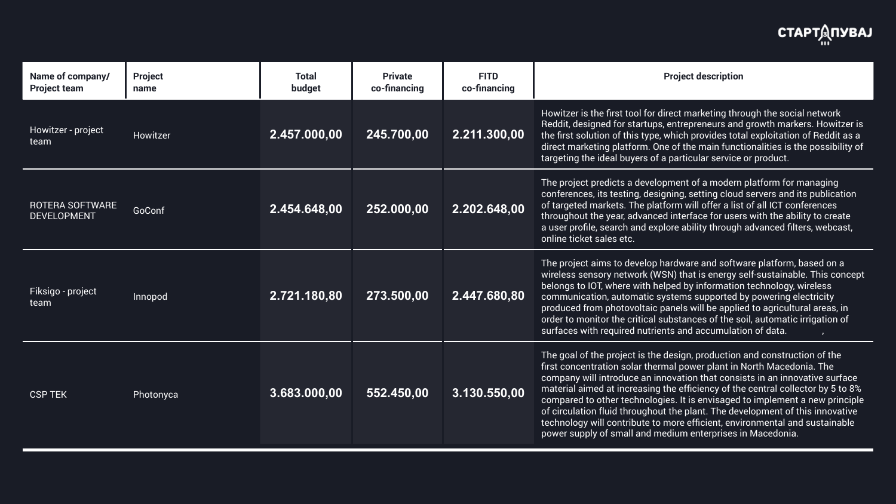$\mu$ itzer is the first tool for direct marketing through the social network dit, designed for startups, entrepreneurs and growth markers. Howitzer is  $\overline{\text{r}}$ rst solution of this type, which provides total exploitation of Reddit as a ct marketing platform. One of the main functionalities is the possibility of eting the ideal buyers of a particular service or product.

project predicts a development of a modern platform for managing  $\overline{\rm{ferences}}$ , its testing, designing, setting cloud servers and its publication rgeted markets. The platform will offer a list of all ICT conferences ughout the year, advanced interface for users with the ability to create er profile, search and explore ability through advanced filters, webcast, ne ticket sales etc.

project aims to develop hardware and software platform, based on a less sensory network (WSN) that is energy self-sustainable. This concept  $\log$  to IOT, where with helped by information technology, wireless imunication, automatic systems supported by powering electricity luced from photovoltaic panels will be applied to agricultural areas, in r to monitor the critical substances of the soil, automatic irrigation of aces with required nutrients and accumulation of data.

goal of the project is the design, production and construction of the concentration solar thermal power plant in North Macedonia. The  $p$  pany will introduce an innovation that consists in an innovative surface erial aimed at increasing the efficiency of the central collector by 5 to 8% pared to other technologies. It is envisaged to implement a new principle irculation fluid throughout the plant. The development of this innovative  $t$  inology will contribute to more efficient, environmental and sustainable er supply of small and medium enterprises in Macedonia.

| Name of company/<br><b>Project team</b>      | <b>Project</b><br>name | <b>Total</b><br>budget | <b>Private</b><br>co-financing | <b>FITD</b><br>co-financing |                                                           |
|----------------------------------------------|------------------------|------------------------|--------------------------------|-----------------------------|-----------------------------------------------------------|
| Howitzer - project<br>team                   | Howitzer               | 2.457.000,00           | 245.700,00                     | 2.211.300,00                | How<br>Red<br>the f<br>dired<br>targ                      |
| <b>ROTERA SOFTWARE</b><br><b>DEVELOPMENT</b> | GoConf                 | 2.454.648,00           | 252.000,00                     | 2.202.648,00                | The<br>conf<br>of ta<br>thro<br>a us<br>onlir             |
| Fiksigo - project<br>team                    | Innopod                | 2.721.180,80           | 273.500,00                     | 2.447.680,80                | <b>The</b><br>wire<br>belo<br>com<br>prod<br>orde<br>surf |
| <b>CSP TEK</b>                               | Photonyca              | 3.683.000,00           | 552.450,00                     | 3.130.550,00                | The<br>first<br>com<br>mat<br>com<br>of ci<br>tech<br>pow |

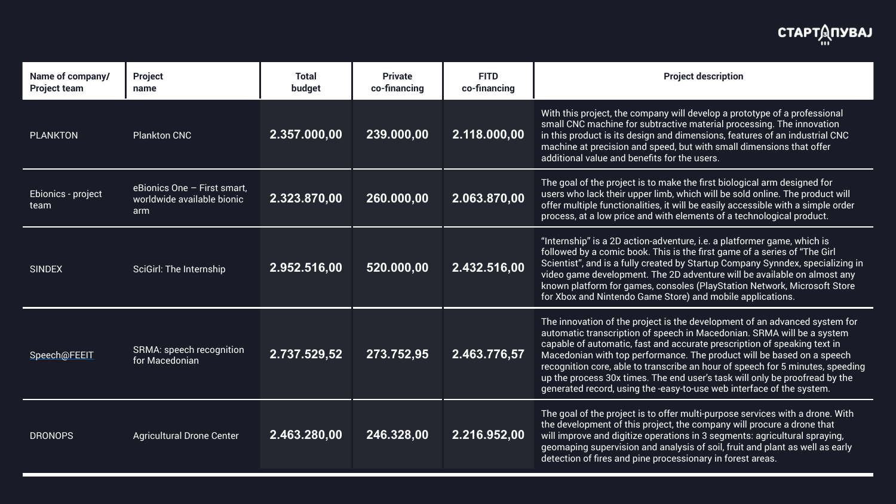this project, the company will develop a prototype of a professional Il CNC machine for subtractive material processing. The innovation is product is its design and dimensions, features of an industrial CNC  $\,$ hine at precision and speed, but with small dimensions that offer tional value and benefits for the users.

goal of the project is to make the first biological arm designed for rs who lack their upper limb, which will be sold online. The product will  $\cdot$  multiple functionalities, it will be easily accessible with a simple order ess, at a low price and with elements of a technological product.

 $\mathsf{prnship''}$  is a 2D action-adventure, i.e. a platformer game, which is ) wed by a comic book. This is the first game of a series of "The Girl  $\mathsf{matrix}''$ , and is a fully created by Startup Company Synndex, specializing in o game development. The 2D adventure will be available on almost any wn platform for games, consoles (PlayStation Network, Microsoft Store (box and Nintendo Game Store) and mobile applications.

innovation of the project is the development of an advanced system for  $\delta$ matic transcription of speech in Macedonian. SRMA will be a system able of automatic, fast and accurate prescription of speaking text in edonian with top performance. The product will be based on a speech ognition core, able to transcribe an hour of speech for 5 minutes, speeding e process 30x times. The end user's task will only be proofread by the erated record, using the -easy-to-use web interface of the system.

goal of the project is to offer multi-purpose services with a drone. With levelopment of this project, the company will procure a drone that improve and digitize operations in 3 segments: agricultural spraying, maping supervision and analysis of soil, fruit and plant as well as early ction of fires and pine processionary in forest areas.

| Name of company/<br><b>Project team</b> | <b>Project</b><br>name                                           | <b>Total</b><br>budget | <b>Private</b><br>co-financing | <b>FITD</b><br>co-financing |                                                         |
|-----------------------------------------|------------------------------------------------------------------|------------------------|--------------------------------|-----------------------------|---------------------------------------------------------|
| <b>PLANKTON</b>                         | <b>Plankton CNC</b>                                              | 2.357.000,00           | 239.000,00                     | 2.118.000,00                | With<br>sma<br>in th<br>mac<br>addi                     |
| Ebionics - project<br>team              | eBionics One - First smart,<br>worldwide available bionic<br>arm | 2.323.870,00           | 260.000,00                     | 2.063.870,00                | The<br>user<br>offel<br>proc                            |
| <b>SINDEX</b>                           | <b>SciGirl: The Internship</b>                                   | 2.952.516,00           | 520.000,00                     | 2.432.516,00                | "Inte<br>follo<br>Scie<br>vide<br>knoy<br>for $\rangle$ |
| Speech@FEEIT                            | <b>SRMA: speech recognition</b><br>for Macedonian                | 2.737.529,52           | 273.752,95                     | 2.463.776,57                | The<br>auto<br>capa<br>Mac<br>reco<br>up tl<br>gene     |
| <b>DRONOPS</b>                          | <b>Agricultural Drone Center</b>                                 | 2.463.280,00           | 246.328,00                     | 2.216.952,00                | The<br>the o<br>will<br>geor<br>dete                    |

# **СТАРТДПУВАЈ**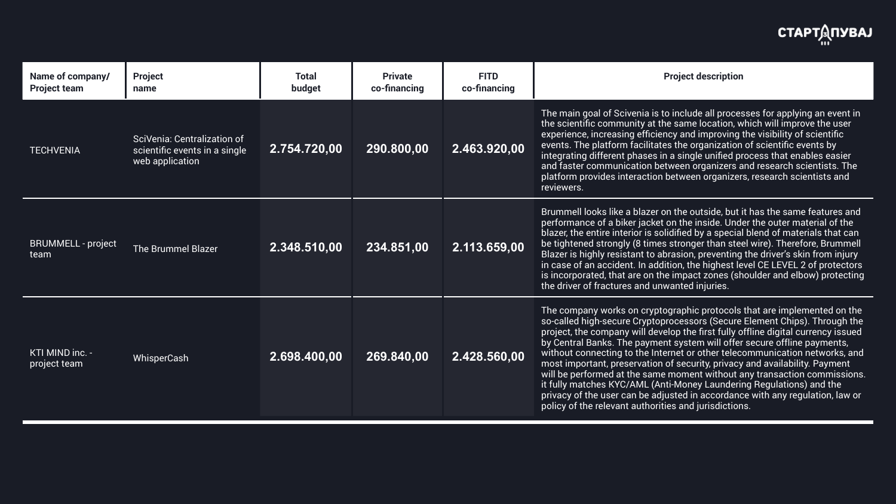main goal of Scivenia is to include all processes for applying an event in scientific community at the same location, which will improve the user erience, increasing efficiency and improving the visibility of scientific its. The platform facilitates the organization of scientific events by ) prating different phases in a single unified process that enables easier faster communication between organizers and research scientists. The form provides interaction between organizers, research scientists and wers.

nmell looks like a blazer on the outside, but it has the same features and prmance of a biker jacket on the inside. Under the outer material of the  $\overline{\phantom{a}}$  $\epsilon$ er, the entire interior is solidified by a special blend of materials that can ightened strongly (8 times stronger than steel wire). Therefore, Brummell  $\epsilon$ er is highly resistant to abrasion, preventing the driver's skin from injury ase of an accident. In addition, the highest level CE LEVEL 2 of protectors corporated, that are on the impact zones (shoulder and elbow) protecting Iriver of fractures and unwanted injuries.

company works on cryptographic protocols that are implemented on the alled high-secure Cryptoprocessors (Secure Element Chips). Through the ect, the company will develop the first fully offline digital currency issued  $\lambda$ entral Banks. The payment system will offer secure offline payments, out connecting to the Internet or other telecommunication networks, and t important, preservation of security, privacy and availability. Payment be performed at the same moment without any transaction commissions. lly matches KYC/AML (Anti-Money Laundering Regulations) and the acy of the user can be adjusted in accordance with any regulation, law or cy of the relevant authorities and jurisdictions.

| Name of company/<br><b>Project team</b> | <b>Project</b><br>name                                                          | <b>Total</b><br>budget    | <b>Private</b><br>co-financing | <b>FITD</b><br>co-financing |                                                                                   |
|-----------------------------------------|---------------------------------------------------------------------------------|---------------------------|--------------------------------|-----------------------------|-----------------------------------------------------------------------------------|
| <b>TECHVENIA</b>                        | SciVenia: Centralization of<br>scientific events in a single<br>web application | 2.754.720,00              | 290.800,00                     | 2.463.920,00                | <b>The</b><br>the s<br>expe<br>ever<br>inter<br>and<br>platt<br>revie             |
| <b>BRUMMELL - project</b><br>team       | <b>The Brummel Blazer</b>                                                       | 2.348.510,00              | 234.851,00                     | 2.113.659,00                | <b>Brur</b><br>perf<br>blaz<br>be ti<br><b>Blaz</b><br>in ca<br>is in<br>the o    |
| KTI MIND inc. -<br>project team         | WhisperCash                                                                     | $\overline{2.698.400,00}$ | 269.840,00                     | 2.428.560,00                | The<br>SO-C<br>proje<br>by C<br>with<br>mos<br>will I<br>it ful<br>priva<br>polic |